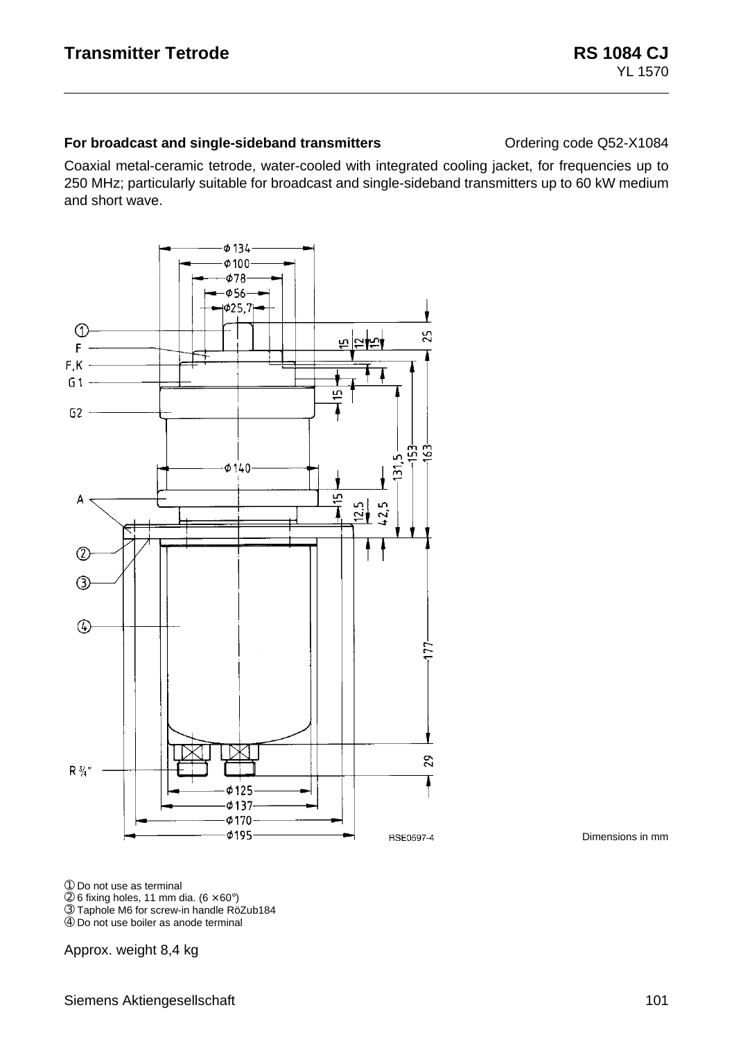#### **For broadcast and single-sideband transmitters Conductional Conduct Conducts** Ordering code Q52-X1084

Coaxial metal-ceramic tetrode, water-cooled with integrated cooling jacket, for frequencies up to 250 MHz; particularly suitable for broadcast and single-sideband transmitters up to 60 kW medium and short wave.



Dimensions in mm

➀ Do not use as terminal

 $@$  6 fixing holes, 11 mm dia.  $(6 \times 60^{\circ})$ 

➂ Taphole M6 for screw-in handle RöZub184

➃ Do not use boiler as anode terminal

Approx. weight 8,4 kg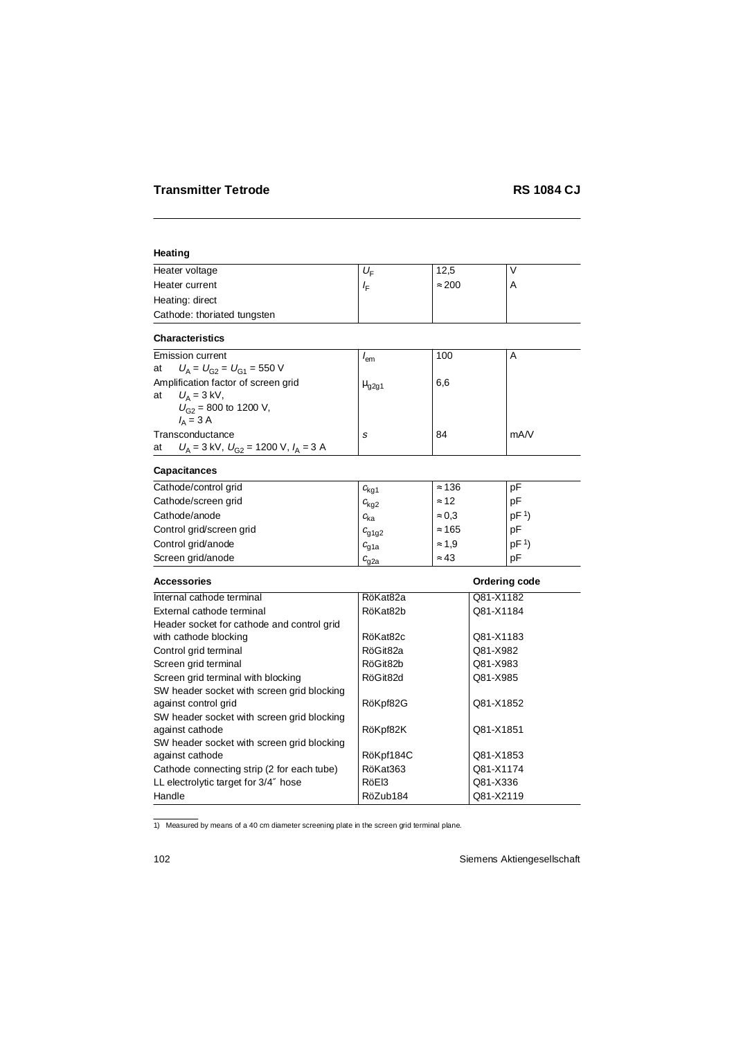# **Heating**

|                       |                                                                                                                                                         |                 | ٧                      |
|-----------------------|---------------------------------------------------------------------------------------------------------------------------------------------------------|-----------------|------------------------|
| $I_{\rm F}$           | $\approx 200$                                                                                                                                           |                 | A                      |
|                       |                                                                                                                                                         |                 |                        |
|                       |                                                                                                                                                         |                 |                        |
|                       |                                                                                                                                                         |                 |                        |
|                       | 100                                                                                                                                                     |                 | A                      |
|                       |                                                                                                                                                         |                 |                        |
| $\mu$ <sub>g2g1</sub> | 6,6                                                                                                                                                     |                 |                        |
|                       |                                                                                                                                                         |                 |                        |
|                       |                                                                                                                                                         |                 | mA/V                   |
|                       |                                                                                                                                                         |                 |                        |
|                       |                                                                                                                                                         |                 |                        |
|                       | $\approx 136$                                                                                                                                           |                 | pF                     |
|                       | $\approx$ 12                                                                                                                                            |                 | pF                     |
|                       | $\approx 0.3$                                                                                                                                           |                 | pF <sup>1</sup>        |
|                       | $\approx 165$                                                                                                                                           |                 | pF                     |
|                       | $\approx 1.9$                                                                                                                                           |                 | pF <sup>1</sup>        |
| $c_{q2a}$             | $\approx 43$                                                                                                                                            |                 | pF                     |
|                       |                                                                                                                                                         |                 | Ordering code          |
| RöKat82a              |                                                                                                                                                         | Q81-X1182       |                        |
| RöKat82b              |                                                                                                                                                         | Q81-X1184       |                        |
|                       |                                                                                                                                                         |                 |                        |
| RöKat82c              |                                                                                                                                                         | Q81-X1183       |                        |
| RöGit82a              |                                                                                                                                                         | Q81-X982        |                        |
| RöGit82b              |                                                                                                                                                         | Q81-X983        |                        |
| RöGit82d              |                                                                                                                                                         | Q81-X985        |                        |
|                       |                                                                                                                                                         |                 |                        |
|                       |                                                                                                                                                         | Q81-X1852       |                        |
|                       |                                                                                                                                                         |                 |                        |
|                       |                                                                                                                                                         |                 |                        |
|                       |                                                                                                                                                         |                 |                        |
| <b>DAKat263</b>       |                                                                                                                                                         | $0.81 - Y 1171$ |                        |
|                       | $U_{\mathsf{F}}$<br>$I_{\rm em}$<br>s<br>$c_{\rm kq1}$<br>$c_{\rm kg2}$<br>$c_{\rm ka}$<br>$c_{q1q2}$<br>$c_{q1a}$<br>RöKpf82G<br>RöKpf82K<br>RöKpf184C | 12,5<br>84      | Q81-X1851<br>Q81-X1853 |

Cathode connecting strip (2 for each tube) | RöKat363 | Q81-X1174 LL electrolytic target for  $3/4$ " hose  $\vert$  RöEl3  $\vert$  Q81-X336 Handle RöZub184 Q81-X2119

1) Measured by means of a 40 cm diameter screening plate in the screen grid terminal plane.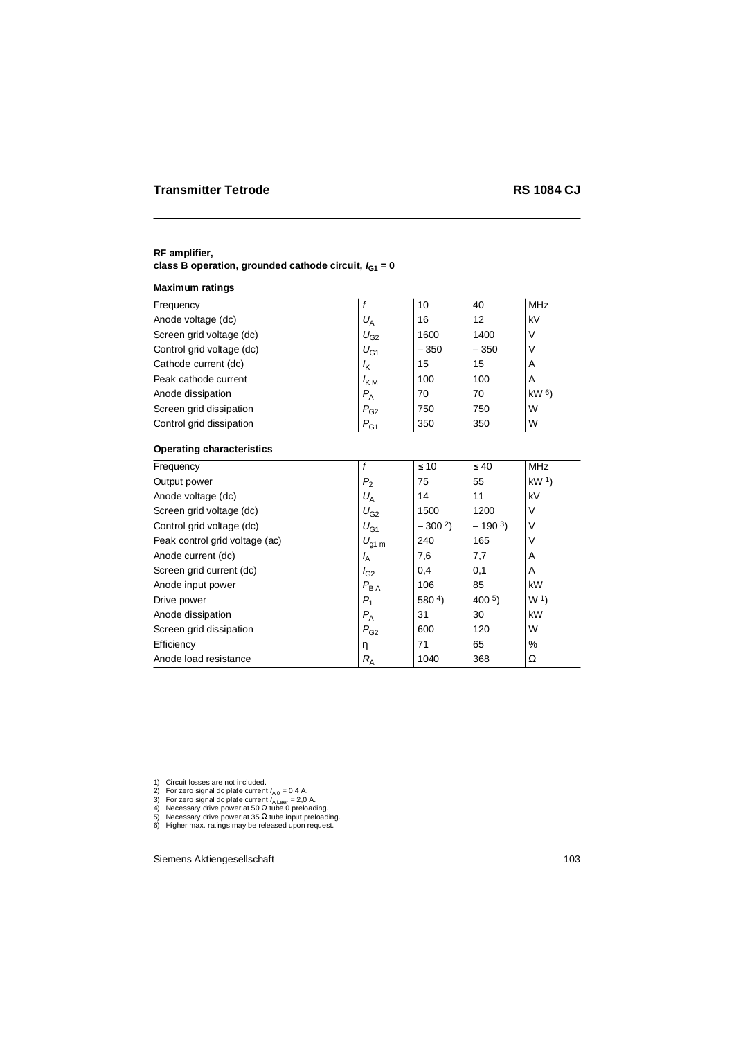# **RF amplifier,** class B operation, grounded cathode circuit,  $I_{G1} = 0$

#### **Maximum ratings**

| Frequency                        | f                 | 10               | 40                | <b>MHz</b>      |
|----------------------------------|-------------------|------------------|-------------------|-----------------|
| Anode voltage (dc)               | $U_A$             | 16               | $12 \overline{ }$ | kV              |
| Screen grid voltage (dc)         | $U_{G2}$          | 1600             | 1400              | V               |
| Control grid voltage (dc)        | $U_{G1}$          | $-350$           | $-350$            | V               |
| Cathode current (dc)             | $I_{\mathsf{K}}$  | 15               | 15                | A               |
| Peak cathode current             | $I_{KM}$          | 100              | 100               | A               |
| Anode dissipation                | $P_{\rm A}$       | 70               | 70                | kW <sub>6</sub> |
| Screen grid dissipation          | $P_{\rm G2}$      | 750              | 750               | W               |
| Control grid dissipation         | $P_{G1}$          | 350              | 350               | W               |
| <b>Operating characteristics</b> |                   |                  |                   |                 |
| Frequency                        | f                 | $\leq 10$        | $\leq 40$         | <b>MHz</b>      |
| Output power                     | P <sub>2</sub>    | 75               | 55                | kW <sup>1</sup> |
| Anode voltage (dc)               | $U_A$             | 14               | 11                | kV              |
| Screen grid voltage (dc)         | $U_{G2}$          | 1500             | 1200              | V               |
| Control grid voltage (dc)        | $U_{G1}$          | $-3002$          | $-1903$           | V               |
| Peak control grid voltage (ac)   | $U_{\text{g1 m}}$ | 240              | 165               | V               |
| Anode current (dc)               | $I_A$             | 7,6              | 7,7               | Α               |
| Screen grid current (dc)         | $I_{G2}$          | 0,4              | 0,1               | Α               |
| Anode input power                | $P_{BA}$          | 106              | 85                | kW              |
| Drive power                      | $P_1$             | 580 <sup>4</sup> | 400 <sup>5</sup>  | W <sub>1</sub>  |
| Anode dissipation                | $P_{\rm A}$       | 31               | 30                | kW              |
| Screen grid dissipation          | $P_{\rm G2}$      | 600              | 120               | W               |
| Efficiency                       | η                 | 71               | 65                | $\%$            |
| Anode load resistance            | $R_{\rm A}$       | 1040             | 368               | Ω               |

<sup>1)</sup> Circuit losses are not included.

<sup>2)</sup> For zero signal dc plate current I<sub>A 0</sub> = 0,4 A.<br>3) For zero signal dc plate current I<sub>A Leer</sub> = 2,0 A.<br>4) Necessary drive power at 50 Ω tube 0 preloading.

<sup>5)</sup> Necessary drive power at 35 Ω tube input preloading.

<sup>6)</sup> Higher max. ratings may be released upon request.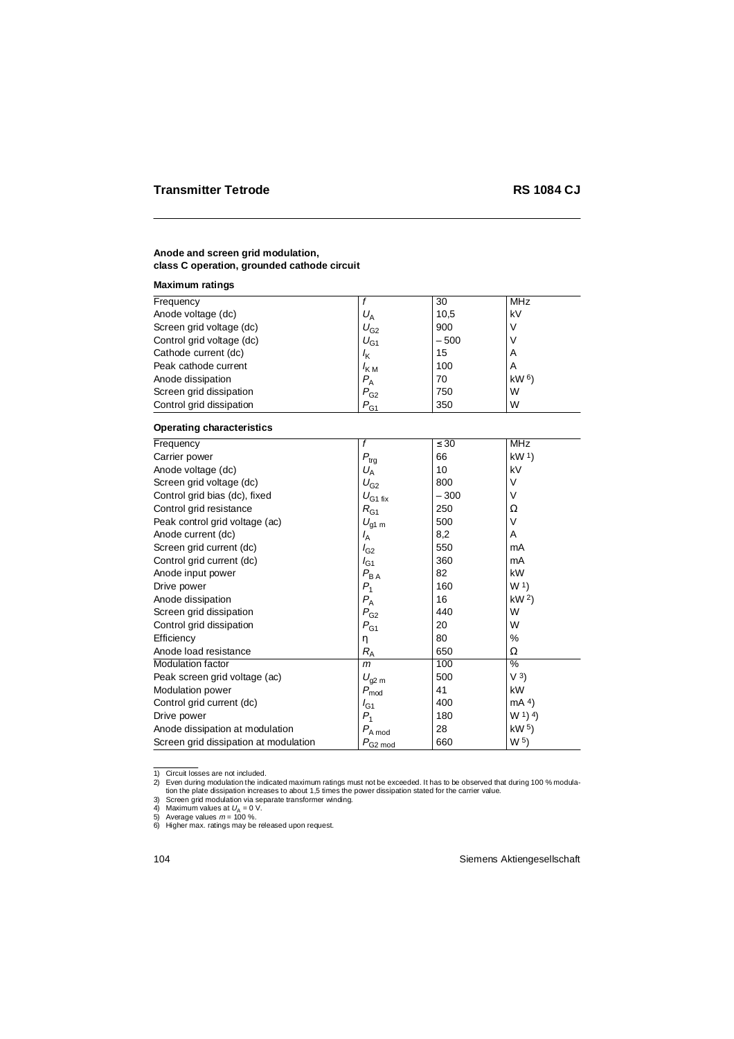# **Anode and screen grid modulation, class C operation, grounded cathode circuit**

#### **Maximum ratings**

| Frequency                 |                  | 30     | MHz             |  |
|---------------------------|------------------|--------|-----------------|--|
| Anode voltage (dc)        | $U_{\rm A}$      | 10,5   | kV              |  |
| Screen grid voltage (dc)  | $U_{G2}$         | 900    |                 |  |
| Control grid voltage (dc) | $U_{G1}$         | $-500$ |                 |  |
| Cathode current (dc)      | $I_{\mathsf{K}}$ | 15     | A               |  |
| Peak cathode current      | $I_{\text{KM}}$  | 100    | A               |  |
| Anode dissipation         | $P_{\rm A}$      | 70     | kW <sub>6</sub> |  |
| Screen grid dissipation   | $P_{G2}$         | 750    | W               |  |
| Control grid dissipation  | $P_{G1}$         | 350    | W               |  |

### **Operating characteristics**

| Frequency                             | f                          | $\leq 30$ | <b>MHz</b>                     |
|---------------------------------------|----------------------------|-----------|--------------------------------|
| Carrier power                         | $P_{\rm{trg}}$             | 66        | kW <sup>1</sup>                |
| Anode voltage (dc)                    | $U_A$                      | 10        | kV                             |
| Screen grid voltage (dc)              | $U_{G2}$                   | 800       | $\vee$                         |
| Control grid bias (dc), fixed         | $U_{\rm G1\,fix}$          | $-300$    | $\vee$                         |
| Control grid resistance               | $R_{G1}$                   | 250       | Ω                              |
| Peak control grid voltage (ac)        | $U_{\text{g1 m}}$          | 500       | V                              |
| Anode current (dc)                    | $I_{\mathsf{A}}$           | 8,2       | A                              |
| Screen grid current (dc)              | $I_{G2}$                   | 550       | mA                             |
| Control grid current (dc)             | $I_{G1}$                   | 360       | mA                             |
| Anode input power                     | $P_{\mathsf{BA}}$          | 82        | kW                             |
| Drive power                           | $P_1$                      | 160       | W <sub>1</sub>                 |
| Anode dissipation                     | $P_{\rm A}$                | 16        | kW <sup>2</sup>                |
| Screen grid dissipation               | $P_{G2}$                   | 440       | W                              |
| Control grid dissipation              | $P_{G1}$                   | 20        | W                              |
| Efficiency                            | η                          | 80        | %                              |
| Anode load resistance                 | $R_{\rm A}$                | 650       | Ω                              |
| Modulation factor                     | m                          | 100       | %                              |
| Peak screen grid voltage (ac)         | $U_{\text{g2 m}}$          | 500       | V <sup>3</sup>                 |
| Modulation power                      | $P_{\rm mod}$              | 41        | kW                             |
| Control grid current (dc)             | $I_{G1}$                   | 400       | mA 4)                          |
| Drive power                           | $P_1$                      | 180       | (W <sup>1</sup> ) <sup>4</sup> |
| Anode dissipation at modulation       | $P_{\rm A\,mod}$           | 28        | kW <sub>5</sub>                |
| Screen grid dissipation at modulation | $P_{\text{G2}\text{ mod}}$ | 660       | W <sub>5</sub>                 |

1) Circuit losses are not included.

<sup>2)</sup> Even during modulation the indicated maximum ratings must not be exceeded. It has to be observed that during 100 % modulation the plate dissipation increases to about 1,5 times the power dissipation stated for the carrier value.

<sup>3)</sup> Screen grid modulation via separate transformer winding.<br>4) Maximum values at  $U_\mathrm{A}=0$  V.

<sup>5)</sup> Average values  $m = 100$  %.

<sup>6)</sup> Higher max. ratings may be released upon request.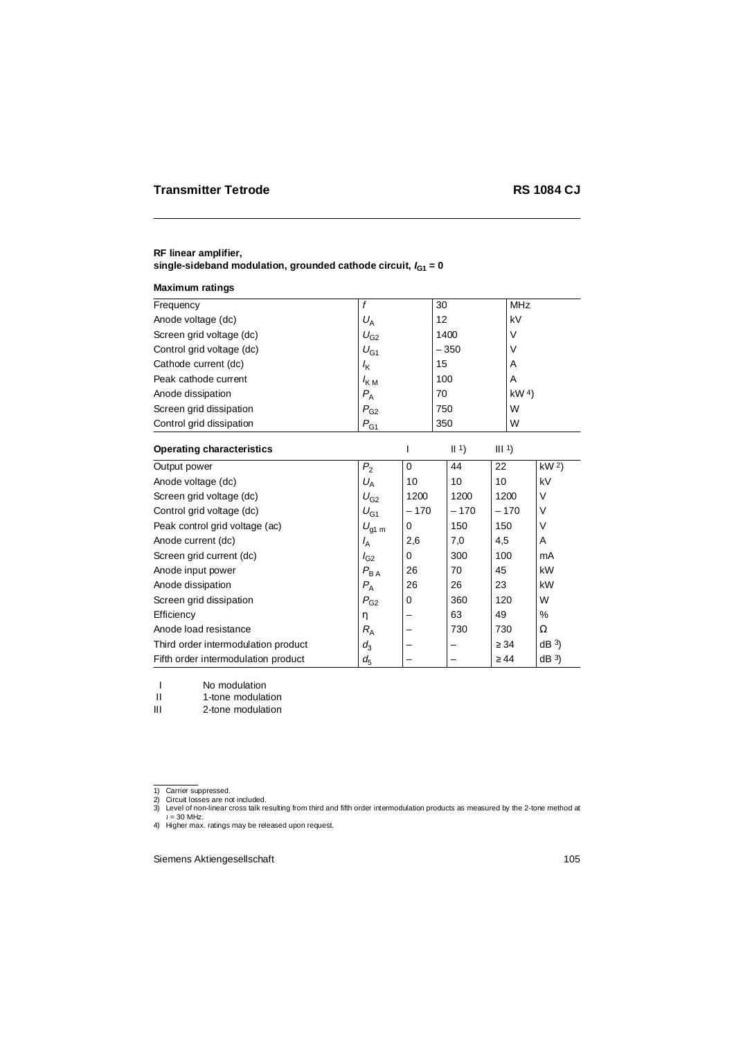### **RF linear amplifier,** single-sideband modulation, grounded cathode circuit,  $I_{G1} = 0$

#### **Maximum ratings**

| Frequency                           | $\mathbf f$                  | 30       |        | <b>MHz</b>       |                 |                 |
|-------------------------------------|------------------------------|----------|--------|------------------|-----------------|-----------------|
| Anode voltage (dc)                  | $U_A$                        |          | 12     |                  | kV              |                 |
| Screen grid voltage (dc)            | $U_{G2}$                     |          | 1400   |                  | $\vee$          |                 |
| Control grid voltage (dc)           | $U_{G1}$                     |          | $-350$ |                  | $\vee$          |                 |
| Cathode current (dc)                | $I_{\mathsf{K}}$             |          | 15     |                  | A               |                 |
| Peak cathode current                | $I_{KM}$                     |          | 100    |                  | A               |                 |
| Anode dissipation                   | $P_{\rm A}$                  |          | 70     |                  | kW <sup>4</sup> |                 |
| Screen grid dissipation             | $P_{\rm G2}$                 |          | 750    |                  | W               |                 |
| Control grid dissipation            | $P_{G1}$                     |          | 350    |                  | W               |                 |
| <b>Operating characteristics</b>    |                              | ı        | 1      | III <sup>1</sup> |                 |                 |
| Output power                        | P <sub>2</sub>               | $\Omega$ | 44     | 22               |                 | kW <sup>2</sup> |
| Anode voltage (dc)                  | $U_A$                        | 10       | 10     | 10               |                 | kV              |
| Screen grid voltage (dc)            | $U_{G2}$                     | 1200     | 1200   |                  | 1200            | V               |
| Control grid voltage (dc)           | $U_{G1}$                     | $-170$   | $-170$ |                  | $-170$          | V               |
| Peak control grid voltage (ac)      | $U_{\text{g1 m}}$            | 0        | 150    | 150              |                 | V               |
| Anode current (dc)                  | $I_{\rm A}$                  | 2,6      | 7,0    | 4,5              |                 | A               |
| Screen grid current (dc)            | $I_{G2}$                     | 0        | 300    | 100              |                 | mA              |
| Anode input power                   | $P_{\mathsf{B}\,\mathsf{A}}$ | 26       | 70     | 45               |                 | kW              |
| Anode dissipation                   | $P_{\rm A}$                  | 26       | 26     | 23               |                 | kW              |
| Screen grid dissipation             | $P_{G2}$                     | 0        | 360    | 120              |                 | W               |
| Efficiency                          | η                            |          | 63     | 49               |                 | %               |
| Anode load resistance               | $R_{\rm A}$                  |          | 730    | 730              |                 | Ω               |
| Third order intermodulation product | $d_3$                        | -        | -      | $\geq$ 34        |                 | dB <sup>3</sup> |
| Fifth order intermodulation product | $d_{5}$                      | -        |        | $\geq 44$        |                 | dB <sup>3</sup> |

I No modulation II 1-tone modulation

III 2-tone modulation

<sup>1)</sup> Carrier suppressed.

<sup>2)</sup> Circuit losses are not included. 3) Level of non-linear cross talk resulting from third and fifth order intermodulation products as measured by the 2-tone method at  $t = 30$  MHz.

<sup>4)</sup> Higher max. ratings may be released upon request.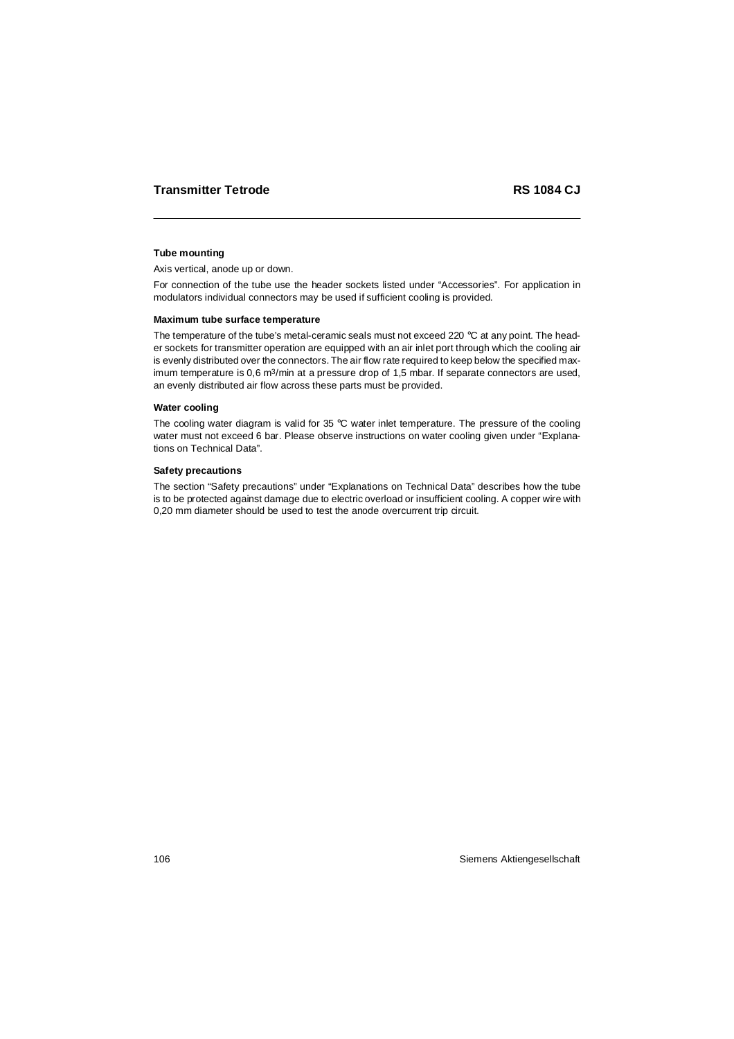### **Tube mounting**

Axis vertical, anode up or down.

For connection of the tube use the header sockets listed under "Accessories". For application in modulators individual connectors may be used if sufficient cooling is provided.

#### **Maximum tube surface temperature**

The temperature of the tube's metal-ceramic seals must not exceed 220  $^{\circ}$ C at any point. The header sockets for transmitter operation are equipped with an air inlet port through which the cooling air is evenly distributed over the connectors. The air flow rate required to keep below the specified maximum temperature is 0,6 m<sup>3</sup>/min at a pressure drop of 1,5 mbar. If separate connectors are used, an evenly distributed air flow across these parts must be provided.

#### **Water cooling**

The cooling water diagram is valid for 35 °C water inlet temperature. The pressure of the cooling water must not exceed 6 bar. Please observe instructions on water cooling given under "Explanations on Technical Data".

#### **Safety precautions**

The section "Safety precautions" under "Explanations on Technical Data" describes how the tube is to be protected against damage due to electric overload or insufficient cooling. A copper wire with 0,20 mm diameter should be used to test the anode overcurrent trip circuit.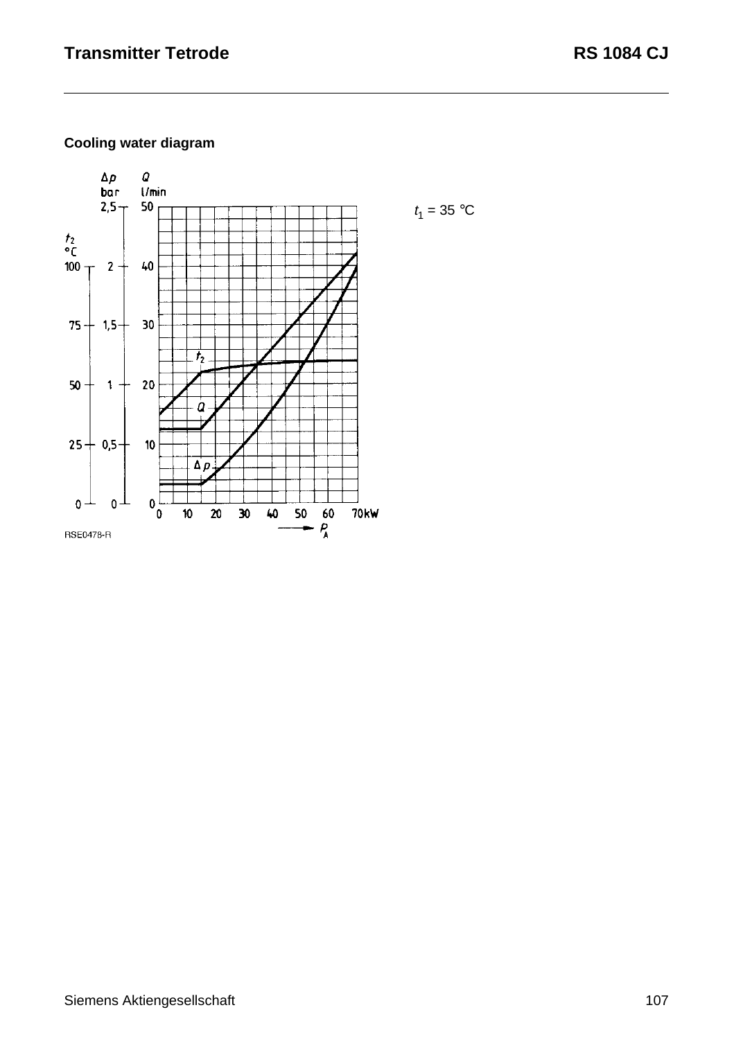# **Cooling water diagram**

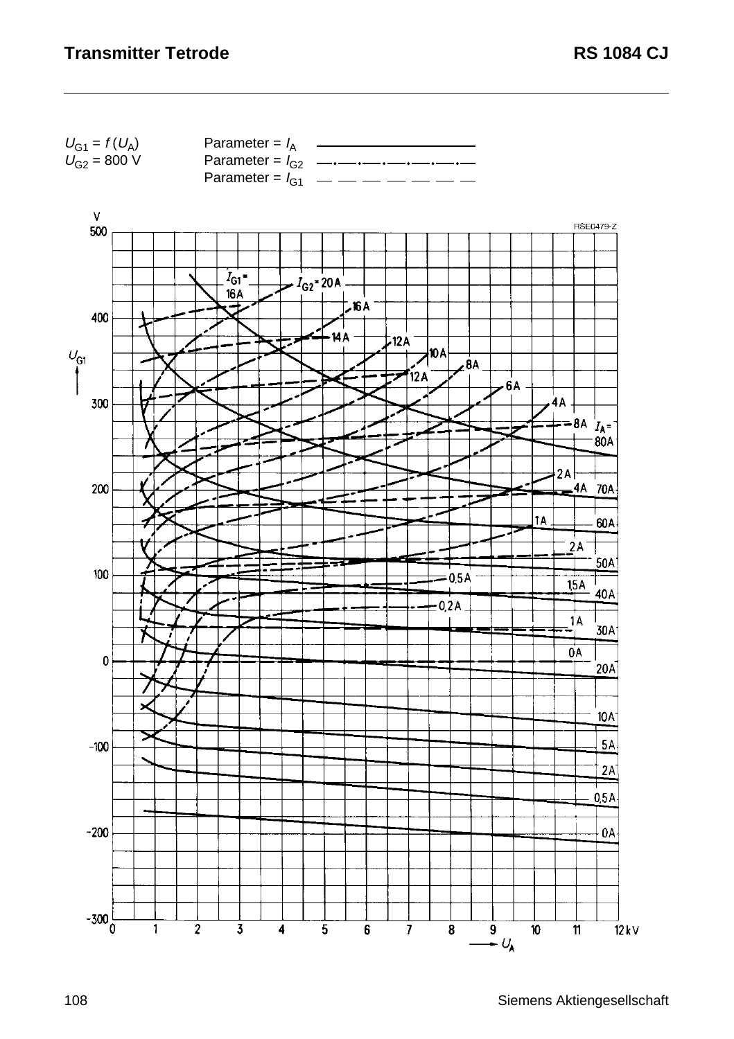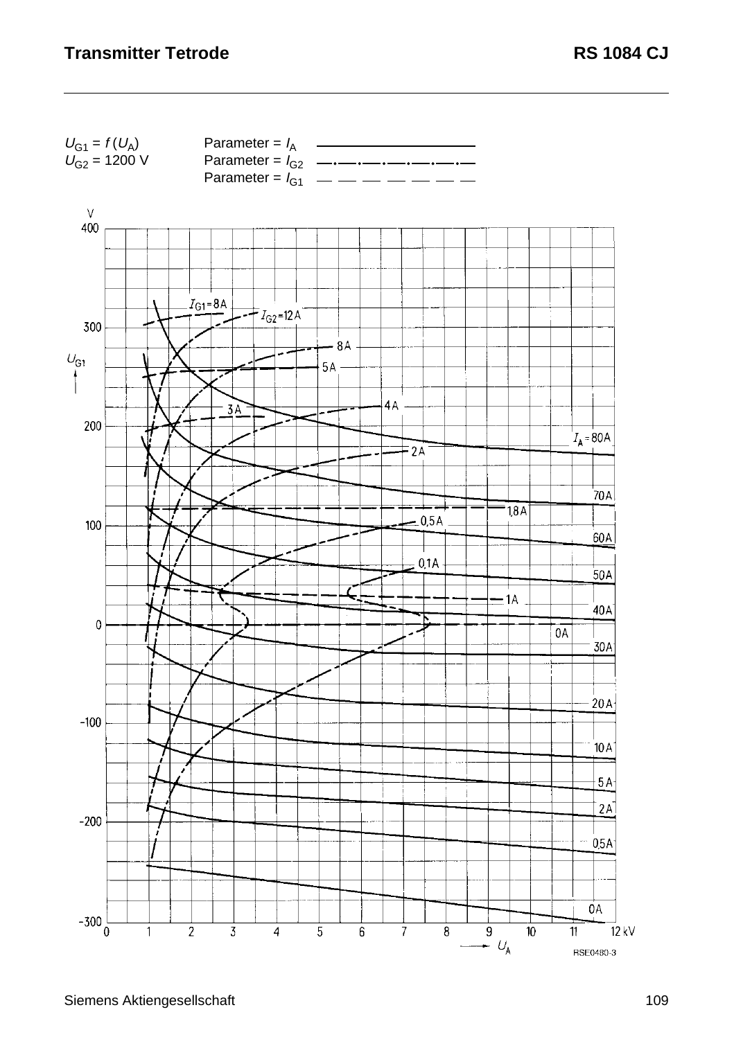